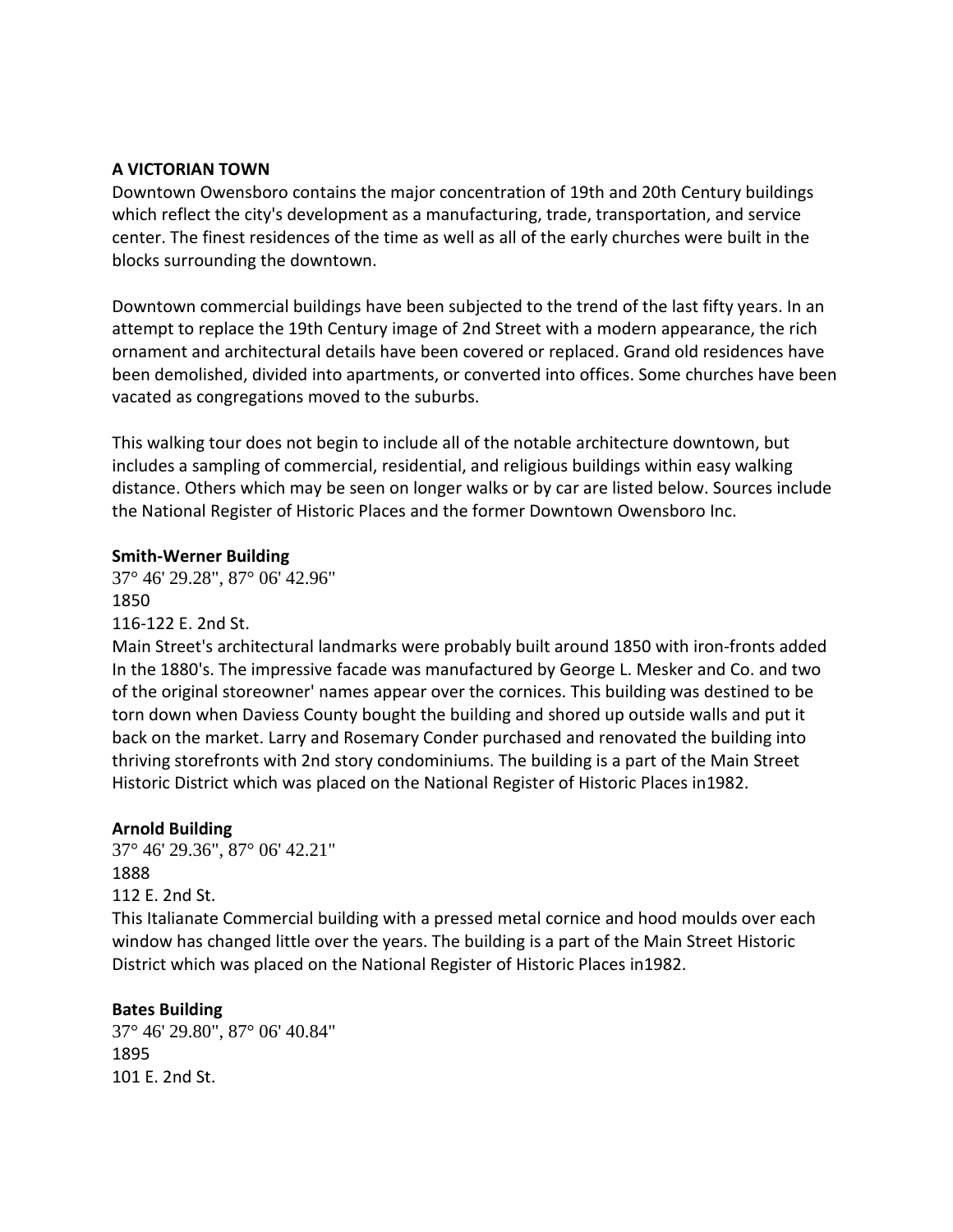#### **A VICTORIAN TOWN**

Downtown Owensboro contains the major concentration of 19th and 20th Century buildings which reflect the city's development as a manufacturing, trade, transportation, and service center. The finest residences of the time as well as all of the early churches were built in the blocks surrounding the downtown.

Downtown commercial buildings have been subjected to the trend of the last fifty years. In an attempt to replace the 19th Century image of 2nd Street with a modern appearance, the rich ornament and architectural details have been covered or replaced. Grand old residences have been demolished, divided into apartments, or converted into offices. Some churches have been vacated as congregations moved to the suburbs.

This walking tour does not begin to include all of the notable architecture downtown, but includes a sampling of commercial, residential, and religious buildings within easy walking distance. Others which may be seen on longer walks or by car are listed below. Sources include the National Register of Historic Places and the former Downtown Owensboro Inc.

#### **Smith-Werner Building**

37° 46' 29.28", 87° 06' 42.96" 1850

116-122 E. 2nd St.

Main Street's architectural landmarks were probably built around 1850 with iron-fronts added In the 1880's. The impressive facade was manufactured by George L. Mesker and Co. and two of the original storeowner' names appear over the cornices. This building was destined to be torn down when Daviess County bought the building and shored up outside walls and put it back on the market. Larry and Rosemary Conder purchased and renovated the building into thriving storefronts with 2nd story condominiums. The building is a part of the Main Street Historic District which was placed on the National Register of Historic Places in1982.

#### **Arnold Building**

37° 46' 29.36", 87° 06' 42.21" 1888 112 E. 2nd St.

This Italianate Commercial building with a pressed metal cornice and hood moulds over each window has changed little over the years. The building is a part of the Main Street Historic District which was placed on the National Register of Historic Places in1982.

#### **Bates Building**

37° 46' 29.80", 87° 06' 40.84" 1895 101 E. 2nd St.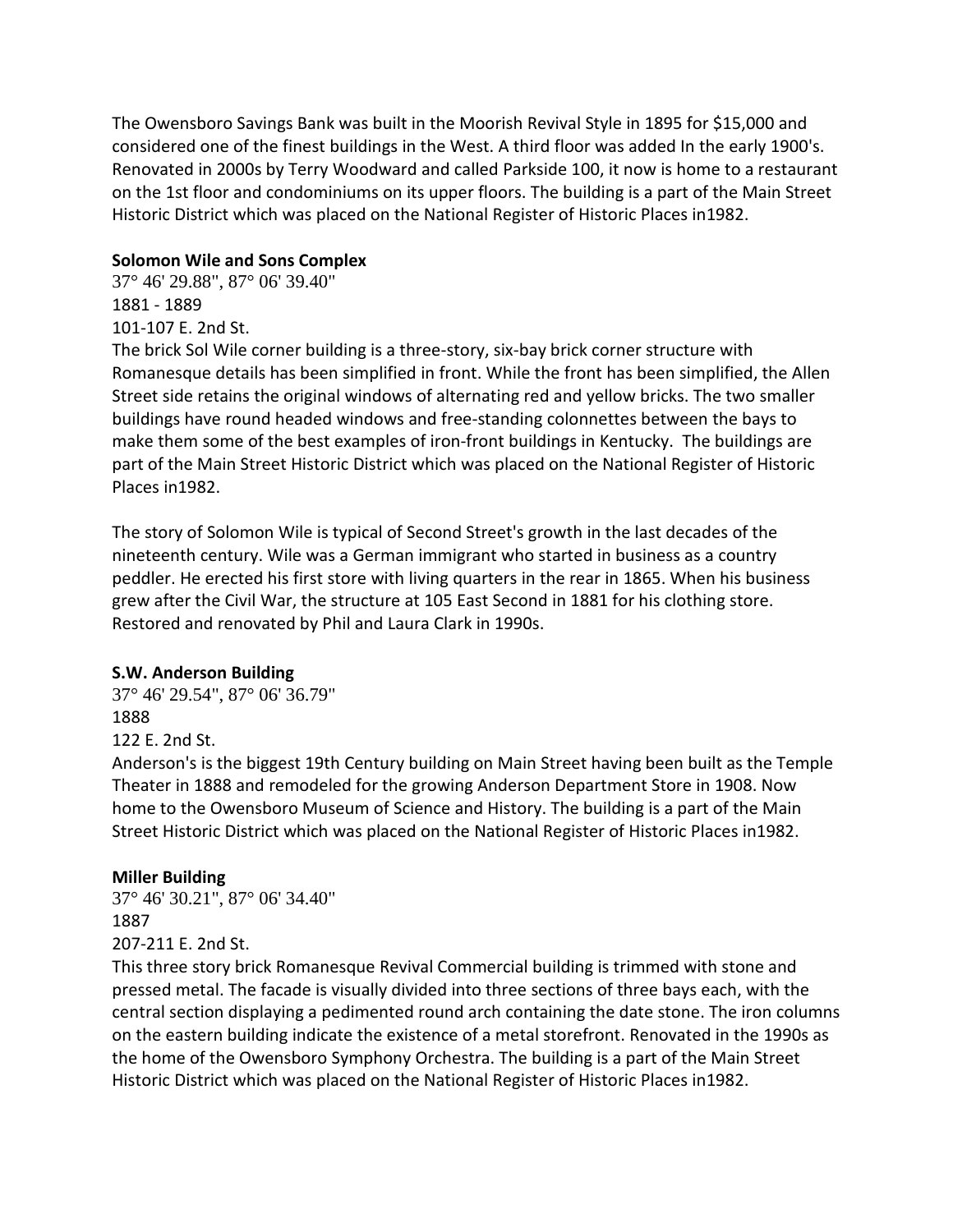The Owensboro Savings Bank was built in the Moorish Revival Style in 1895 for \$15,000 and considered one of the finest buildings in the West. A third floor was added In the early 1900's. Renovated in 2000s by Terry Woodward and called Parkside 100, it now is home to a restaurant on the 1st floor and condominiums on its upper floors. The building is a part of the Main Street Historic District which was placed on the National Register of Historic Places in1982.

# **Solomon Wile and Sons Complex**

37° 46' 29.88", 87° 06' 39.40" 1881 - 1889 101-107 E. 2nd St.

The brick Sol Wile corner building is a three-story, six-bay brick corner structure with Romanesque details has been simplified in front. While the front has been simplified, the Allen Street side retains the original windows of alternating red and yellow bricks. The two smaller buildings have round headed windows and free-standing colonnettes between the bays to make them some of the best examples of iron-front buildings in Kentucky. The buildings are part of the Main Street Historic District which was placed on the National Register of Historic Places in1982.

The story of Solomon Wile is typical of Second Street's growth in the last decades of the nineteenth century. Wile was a German immigrant who started in business as a country peddler. He erected his first store with living quarters in the rear in 1865. When his business grew after the Civil War, the structure at 105 East Second in 1881 for his clothing store. Restored and renovated by Phil and Laura Clark in 1990s.

# **S.W. Anderson Building**

37° 46' 29.54", 87° 06' 36.79" 1888 122 E. 2nd St.

Anderson's is the biggest 19th Century building on Main Street having been built as the Temple Theater in 1888 and remodeled for the growing Anderson Department Store in 1908. Now home to the Owensboro Museum of Science and History. The building is a part of the Main Street Historic District which was placed on the National Register of Historic Places in1982.

# **Miller Building**

37° 46' 30.21", 87° 06' 34.40" 1887 207-211 E. 2nd St.

This three story brick Romanesque Revival Commercial building is trimmed with stone and pressed metal. The facade is visually divided into three sections of three bays each, with the central section displaying a pedimented round arch containing the date stone. The iron columns on the eastern building indicate the existence of a metal storefront. Renovated in the 1990s as the home of the Owensboro Symphony Orchestra. The building is a part of the Main Street Historic District which was placed on the National Register of Historic Places in1982.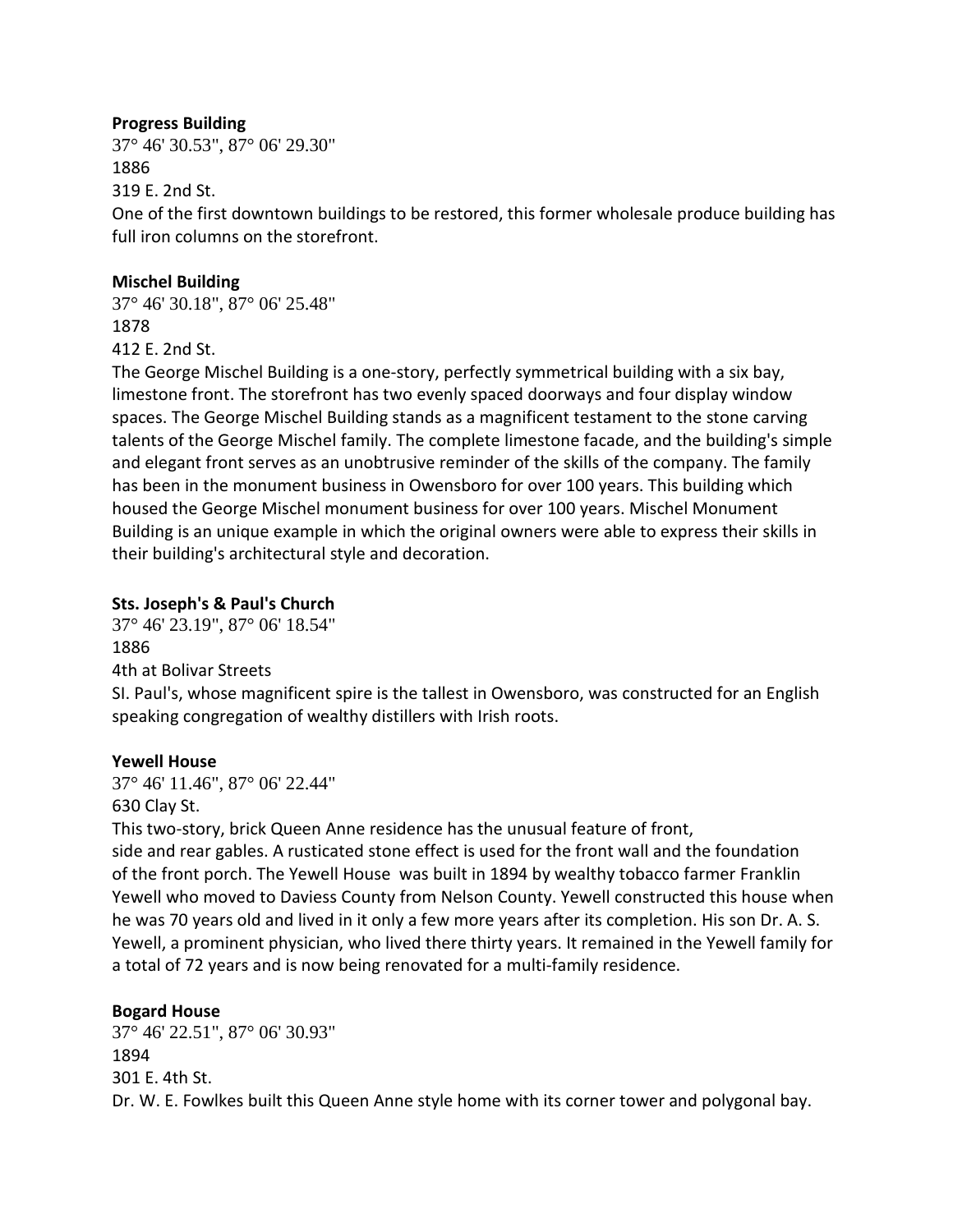## **Progress Building**

37° 46' 30.53", 87° 06' 29.30" 1886 319 E. 2nd St.

One of the first downtown buildings to be restored, this former wholesale produce building has full iron columns on the storefront.

#### **Mischel Building**

37° 46' 30.18", 87° 06' 25.48" 1878 412 E. 2nd St.

The George Mischel Building is a one-story, perfectly symmetrical building with a six bay, limestone front. The storefront has two evenly spaced doorways and four display window spaces. The George Mischel Building stands as a magnificent testament to the stone carving talents of the George Mischel family. The complete limestone facade, and the building's simple and elegant front serves as an unobtrusive reminder of the skills of the company. The family has been in the monument business in Owensboro for over 100 years. This building which housed the George Mischel monument business for over 100 years. Mischel Monument Building is an unique example in which the original owners were able to express their skills in their building's architectural style and decoration.

# **Sts. Joseph's & Paul's Church**

37° 46' 23.19", 87° 06' 18.54" 1886 4th at Bolivar Streets SI. Paul's, whose magnificent spire is the tallest in Owensboro, was constructed for an English speaking congregation of wealthy distillers with Irish roots.

# **Yewell House**

37° 46' 11.46", 87° 06' 22.44" 630 Clay St.

This two-story, brick Queen Anne residence has the unusual feature of front, side and rear gables. A rusticated stone effect is used for the front wall and the foundation of the front porch. The Yewell House was built in 1894 by wealthy tobacco farmer Franklin Yewell who moved to Daviess County from Nelson County. Yewell constructed this house when

he was 70 years old and lived in it only a few more years after its completion. His son Dr. A. S. Yewell, a prominent physician, who lived there thirty years. It remained in the Yewell family for a total of 72 years and is now being renovated for a multi-family residence.

# **Bogard House**

37° 46' 22.51", 87° 06' 30.93" 1894 301 E. 4th St. Dr. W. E. Fowlkes built this Queen Anne style home with its corner tower and polygonal bay.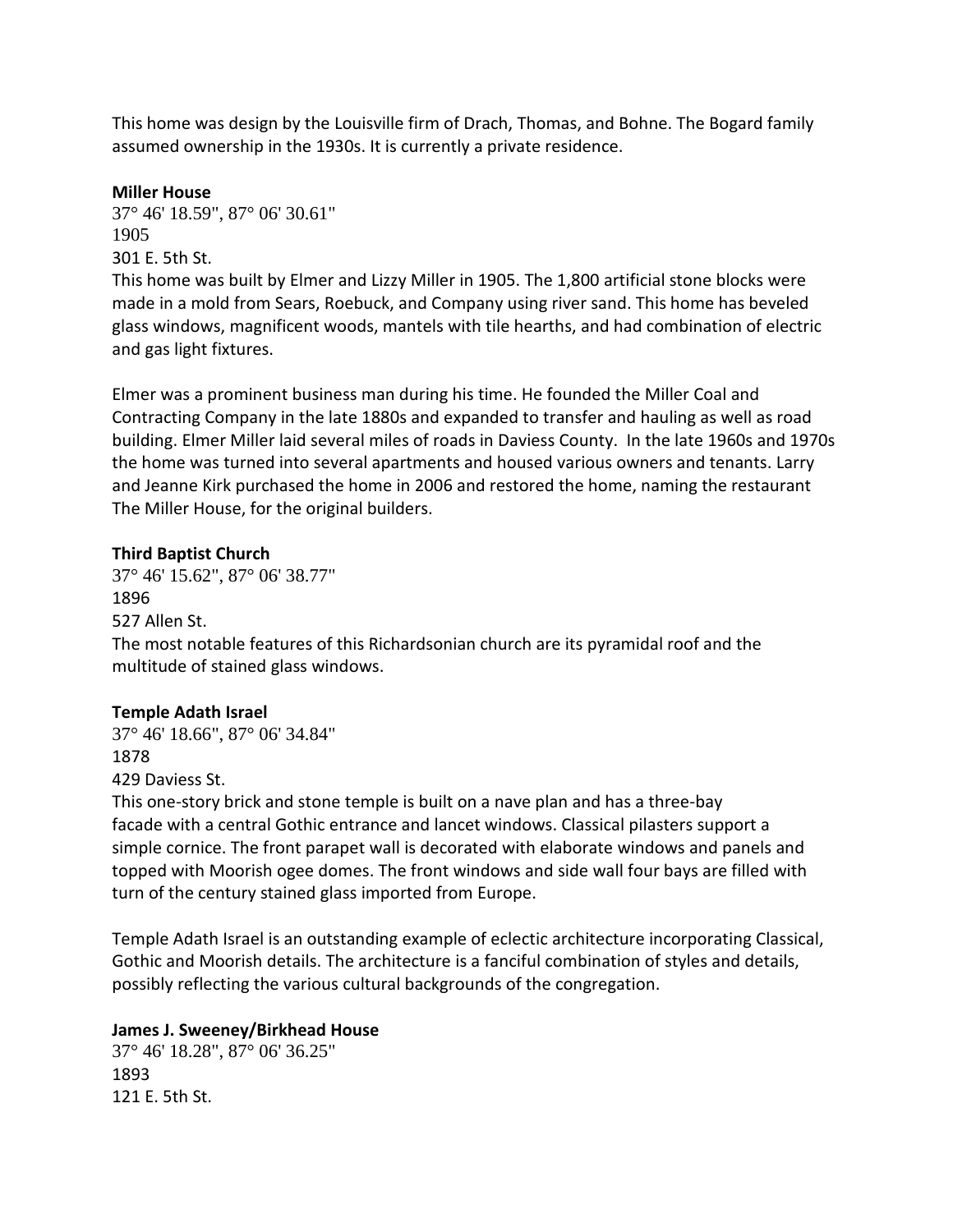This home was design by the Louisville firm of Drach, Thomas, and Bohne. The Bogard family assumed ownership in the 1930s. It is currently a private residence.

## **Miller House**

37° 46' 18.59", 87° 06' 30.61" 1905 301 E. 5th St.

This home was built by Elmer and Lizzy Miller in 1905. The 1,800 artificial stone blocks were made in a mold from Sears, Roebuck, and Company using river sand. This home has beveled glass windows, magnificent woods, mantels with tile hearths, and had combination of electric and gas light fixtures.

Elmer was a prominent business man during his time. He founded the Miller Coal and Contracting Company in the late 1880s and expanded to transfer and hauling as well as road building. Elmer Miller laid several miles of roads in Daviess County. In the late 1960s and 1970s the home was turned into several apartments and housed various owners and tenants. Larry and Jeanne Kirk purchased the home in 2006 and restored the home, naming the restaurant The Miller House, for the original builders.

# **Third Baptist Church**

37° 46' 15.62", 87° 06' 38.77" 1896 527 Allen St. The most notable features of this Richardsonian church are its pyramidal roof and the multitude of stained glass windows.

# **Temple Adath Israel**

37° 46' 18.66", 87° 06' 34.84" 1878 429 Daviess St.

This one-story brick and stone temple is built on a nave plan and has a three-bay facade with a central Gothic entrance and lancet windows. Classical pilasters support a simple cornice. The front parapet wall is decorated with elaborate windows and panels and topped with Moorish ogee domes. The front windows and side wall four bays are filled with turn of the century stained glass imported from Europe.

Temple Adath Israel is an outstanding example of eclectic architecture incorporating Classical, Gothic and Moorish details. The architecture is a fanciful combination of styles and details, possibly reflecting the various cultural backgrounds of the congregation.

# **James J. Sweeney/Birkhead House**

37° 46' 18.28", 87° 06' 36.25" 1893 121 E. 5th St.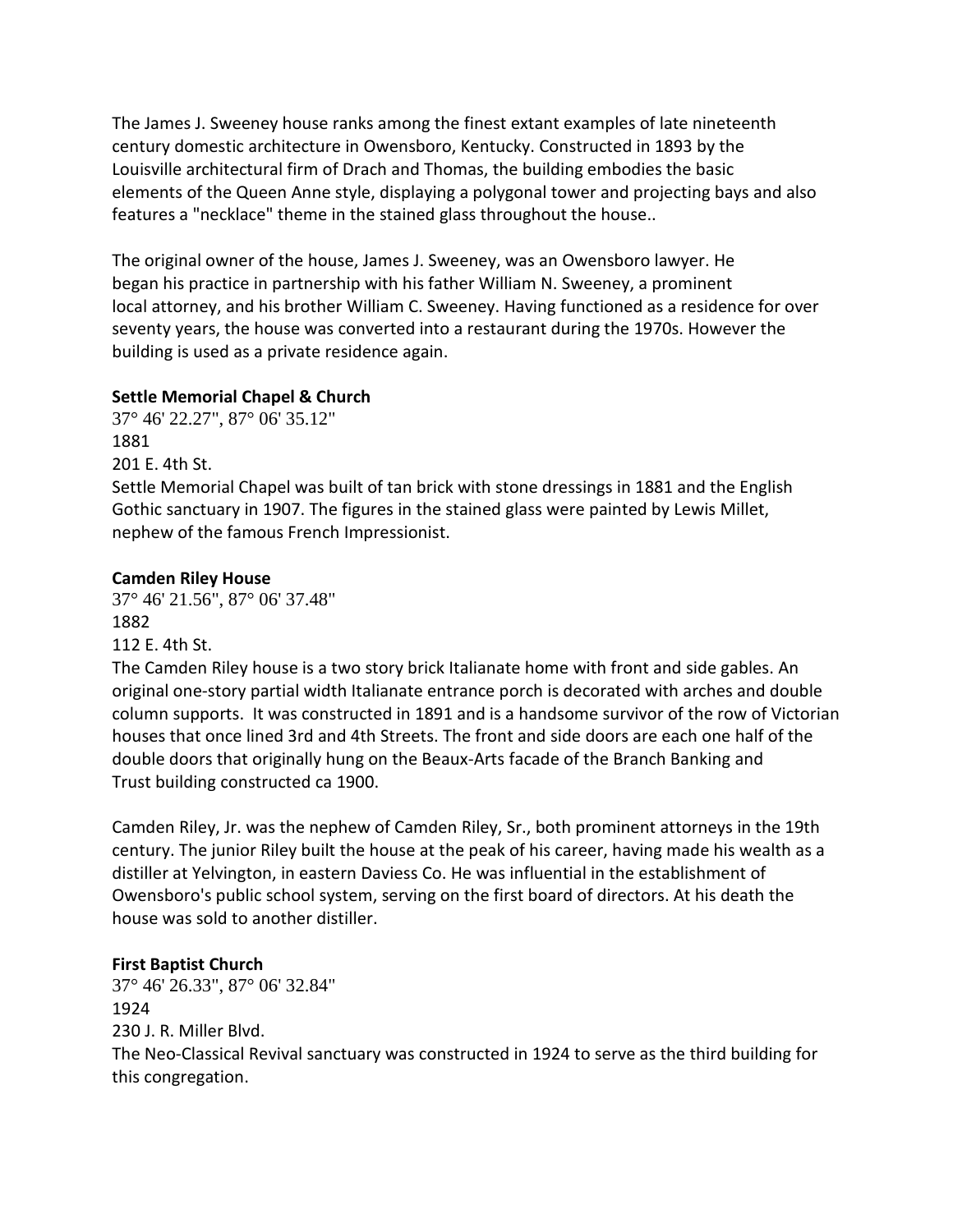The James J. Sweeney house ranks among the finest extant examples of late nineteenth century domestic architecture in Owensboro, Kentucky. Constructed in 1893 by the Louisville architectural firm of Drach and Thomas, the building embodies the basic elements of the Queen Anne style, displaying a polygonal tower and projecting bays and also features a "necklace" theme in the stained glass throughout the house..

The original owner of the house, James J. Sweeney, was an Owensboro lawyer. He began his practice in partnership with his father William N. Sweeney, a prominent local attorney, and his brother William C. Sweeney. Having functioned as a residence for over seventy years, the house was converted into a restaurant during the 1970s. However the building is used as a private residence again.

# **Settle Memorial Chapel & Church**

37° 46' 22.27", 87° 06' 35.12" 1881 201 E. 4th St.

Settle Memorial Chapel was built of tan brick with stone dressings in 1881 and the English Gothic sanctuary in 1907. The figures in the stained glass were painted by Lewis Millet, nephew of the famous French Impressionist.

# **Camden Riley House**

37° 46' 21.56", 87° 06' 37.48" 1882

112 E. 4th St. The Camden Riley house is a two story brick Italianate home with front and side gables. An original one-story partial width Italianate entrance porch is decorated with arches and double column supports. It was constructed in 1891 and is a handsome survivor of the row of Victorian houses that once lined 3rd and 4th Streets. The front and side doors are each one half of the double doors that originally hung on the Beaux-Arts facade of the Branch Banking and Trust building constructed ca 1900.

Camden Riley, Jr. was the nephew of Camden Riley, Sr., both prominent attorneys in the 19th century. The junior Riley built the house at the peak of his career, having made his wealth as a distiller at Yelvington, in eastern Daviess Co. He was influential in the establishment of Owensboro's public school system, serving on the first board of directors. At his death the house was sold to another distiller.

# **First Baptist Church**

37° 46' 26.33", 87° 06' 32.84" 1924 230 J. R. Miller Blvd. The Neo-Classical Revival sanctuary was constructed in 1924 to serve as the third building for this congregation.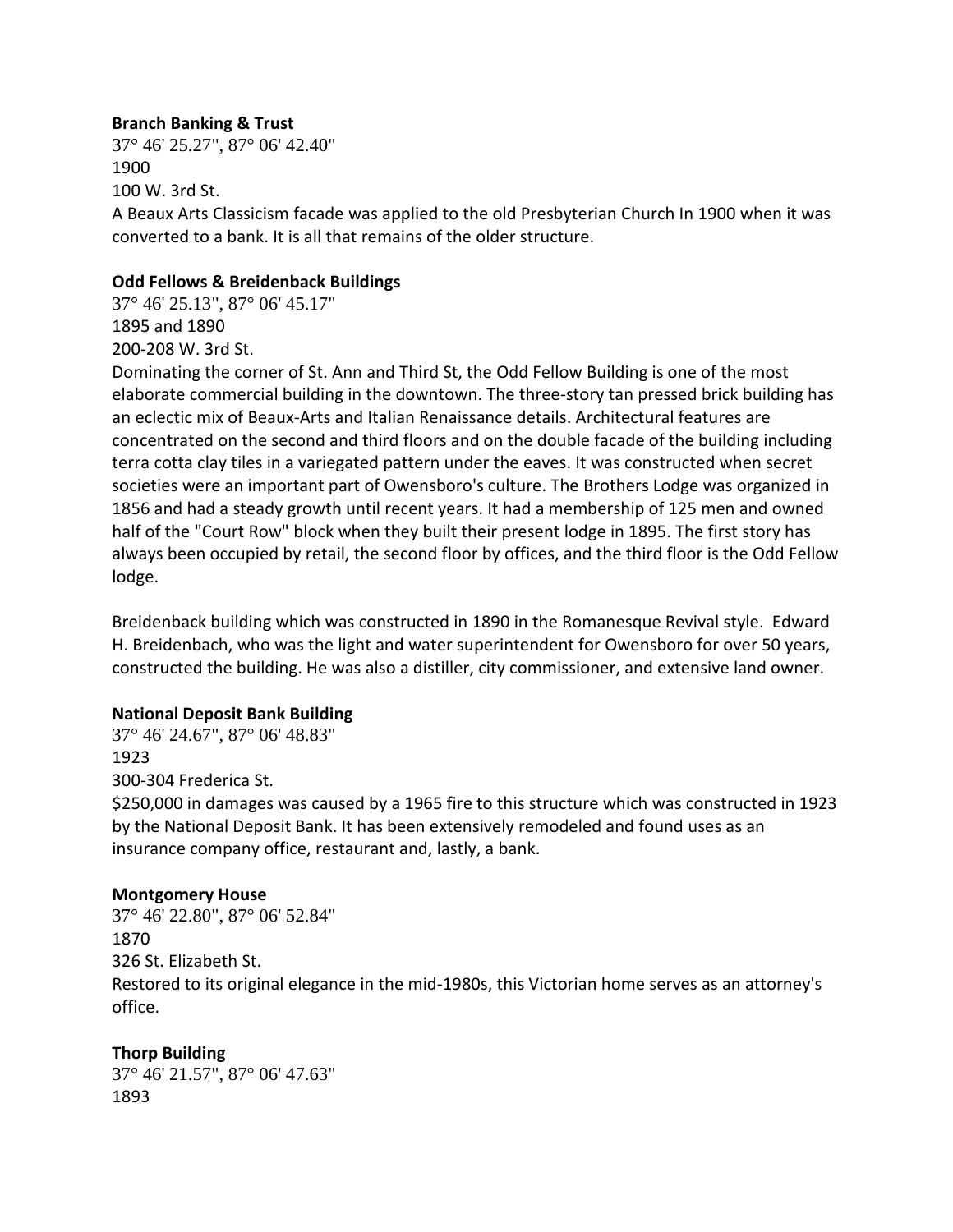## **Branch Banking & Trust**

37° 46' 25.27", 87° 06' 42.40" 1900 100 W. 3rd St. A Beaux Arts Classicism facade was applied to the old Presbyterian Church In 1900 when it was converted to a bank. It is all that remains of the older structure.

#### **Odd Fellows & Breidenback Buildings**

37° 46' 25.13", 87° 06' 45.17" 1895 and 1890 200-208 W. 3rd St.

Dominating the corner of St. Ann and Third St, the Odd Fellow Building is one of the most elaborate commercial building in the downtown. The three-story tan pressed brick building has an eclectic mix of Beaux-Arts and Italian Renaissance details. Architectural features are concentrated on the second and third floors and on the double facade of the building including terra cotta clay tiles in a variegated pattern under the eaves. It was constructed when secret societies were an important part of Owensboro's culture. The Brothers Lodge was organized in 1856 and had a steady growth until recent years. It had a membership of 125 men and owned half of the "Court Row" block when they built their present lodge in 1895. The first story has always been occupied by retail, the second floor by offices, and the third floor is the Odd Fellow lodge.

Breidenback building which was constructed in 1890 in the Romanesque Revival style. Edward H. Breidenbach, who was the light and water superintendent for Owensboro for over 50 years, constructed the building. He was also a distiller, city commissioner, and extensive land owner.

#### **National Deposit Bank Building**

37° 46' 24.67", 87° 06' 48.83" 1923 300-304 Frederica St.

\$250,000 in damages was caused by a 1965 fire to this structure which was constructed in 1923 by the National Deposit Bank. It has been extensively remodeled and found uses as an insurance company office, restaurant and, lastly, a bank.

#### **Montgomery House**

37° 46' 22.80", 87° 06' 52.84" 1870 326 St. Elizabeth St. Restored to its original elegance in the mid-1980s, this Victorian home serves as an attorney's office.

# **Thorp Building**

37° 46' 21.57", 87° 06' 47.63" 1893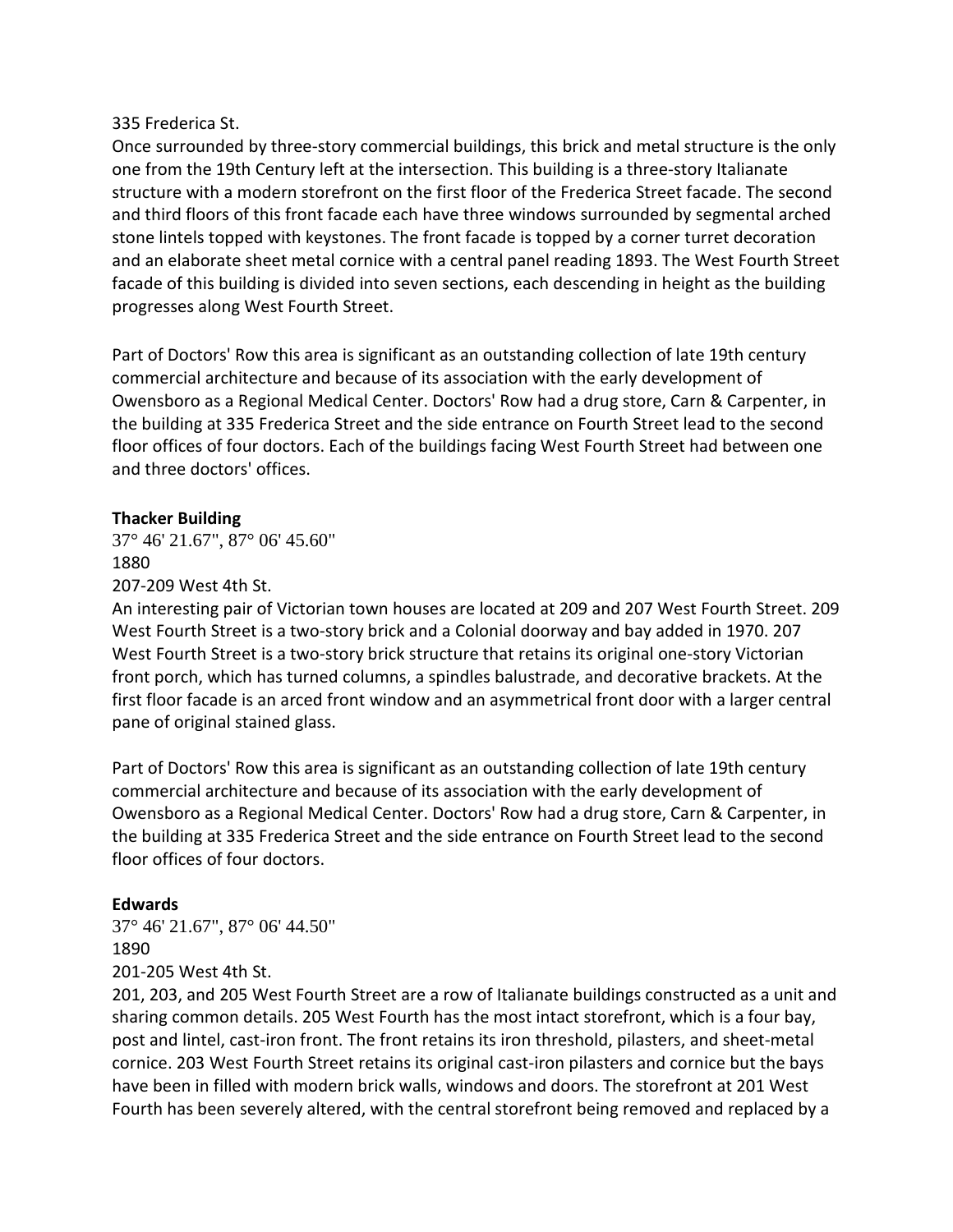#### 335 Frederica St.

Once surrounded by three-story commercial buildings, this brick and metal structure is the only one from the 19th Century left at the intersection. This building is a three-story Italianate structure with a modern storefront on the first floor of the Frederica Street facade. The second and third floors of this front facade each have three windows surrounded by segmental arched stone lintels topped with keystones. The front facade is topped by a corner turret decoration and an elaborate sheet metal cornice with a central panel reading 1893. The West Fourth Street facade of this building is divided into seven sections, each descending in height as the building progresses along West Fourth Street.

Part of Doctors' Row this area is significant as an outstanding collection of late 19th century commercial architecture and because of its association with the early development of Owensboro as a Regional Medical Center. Doctors' Row had a drug store, Carn & Carpenter, in the building at 335 Frederica Street and the side entrance on Fourth Street lead to the second floor offices of four doctors. Each of the buildings facing West Fourth Street had between one and three doctors' offices.

## **Thacker Building**

37° 46' 21.67", 87° 06' 45.60" 1880

207-209 West 4th St.

An interesting pair of Victorian town houses are located at 209 and 207 West Fourth Street. 209 West Fourth Street is a two-story brick and a Colonial doorway and bay added in 1970. 207 West Fourth Street is a two-story brick structure that retains its original one-story Victorian front porch, which has turned columns, a spindles balustrade, and decorative brackets. At the first floor facade is an arced front window and an asymmetrical front door with a larger central pane of original stained glass.

Part of Doctors' Row this area is significant as an outstanding collection of late 19th century commercial architecture and because of its association with the early development of Owensboro as a Regional Medical Center. Doctors' Row had a drug store, Carn & Carpenter, in the building at 335 Frederica Street and the side entrance on Fourth Street lead to the second floor offices of four doctors.

#### **Edwards**

37° 46' 21.67", 87° 06' 44.50" 1890 201-205 West 4th St.

201, 203, and 205 West Fourth Street are a row of Italianate buildings constructed as a unit and sharing common details. 205 West Fourth has the most intact storefront, which is a four bay, post and lintel, cast-iron front. The front retains its iron threshold, pilasters, and sheet-metal cornice. 203 West Fourth Street retains its original cast-iron pilasters and cornice but the bays have been in filled with modern brick walls, windows and doors. The storefront at 201 West Fourth has been severely altered, with the central storefront being removed and replaced by a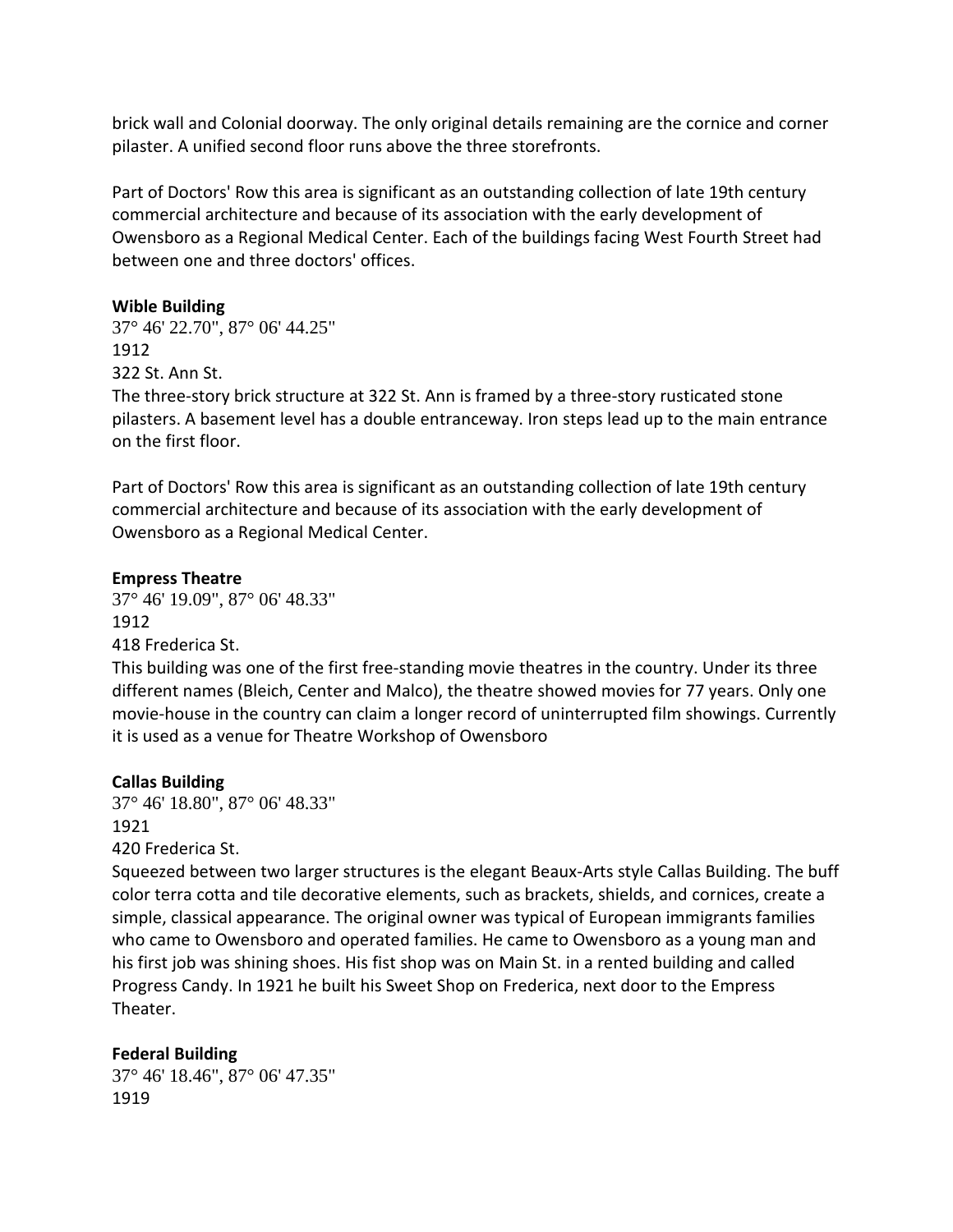brick wall and Colonial doorway. The only original details remaining are the cornice and corner pilaster. A unified second floor runs above the three storefronts.

Part of Doctors' Row this area is significant as an outstanding collection of late 19th century commercial architecture and because of its association with the early development of Owensboro as a Regional Medical Center. Each of the buildings facing West Fourth Street had between one and three doctors' offices.

#### **Wible Building**

37° 46' 22.70", 87° 06' 44.25" 1912 322 St. Ann St.

The three-story brick structure at 322 St. Ann is framed by a three-story rusticated stone pilasters. A basement level has a double entranceway. Iron steps lead up to the main entrance on the first floor.

Part of Doctors' Row this area is significant as an outstanding collection of late 19th century commercial architecture and because of its association with the early development of Owensboro as a Regional Medical Center.

#### **Empress Theatre**

37° 46' 19.09", 87° 06' 48.33" 1912 418 Frederica St.

This building was one of the first free-standing movie theatres in the country. Under its three different names (Bleich, Center and Malco), the theatre showed movies for 77 years. Only one movie-house in the country can claim a longer record of uninterrupted film showings. Currently it is used as a venue for Theatre Workshop of Owensboro

#### **Callas Building**

37° 46' 18.80", 87° 06' 48.33" 1921

420 Frederica St.

Squeezed between two larger structures is the elegant Beaux-Arts style Callas Building. The buff color terra cotta and tile decorative elements, such as brackets, shields, and cornices, create a simple, classical appearance. The original owner was typical of European immigrants families who came to Owensboro and operated families. He came to Owensboro as a young man and his first job was shining shoes. His fist shop was on Main St. in a rented building and called Progress Candy. In 1921 he built his Sweet Shop on Frederica, next door to the Empress Theater.

#### **Federal Building**

37° 46' 18.46", 87° 06' 47.35" 1919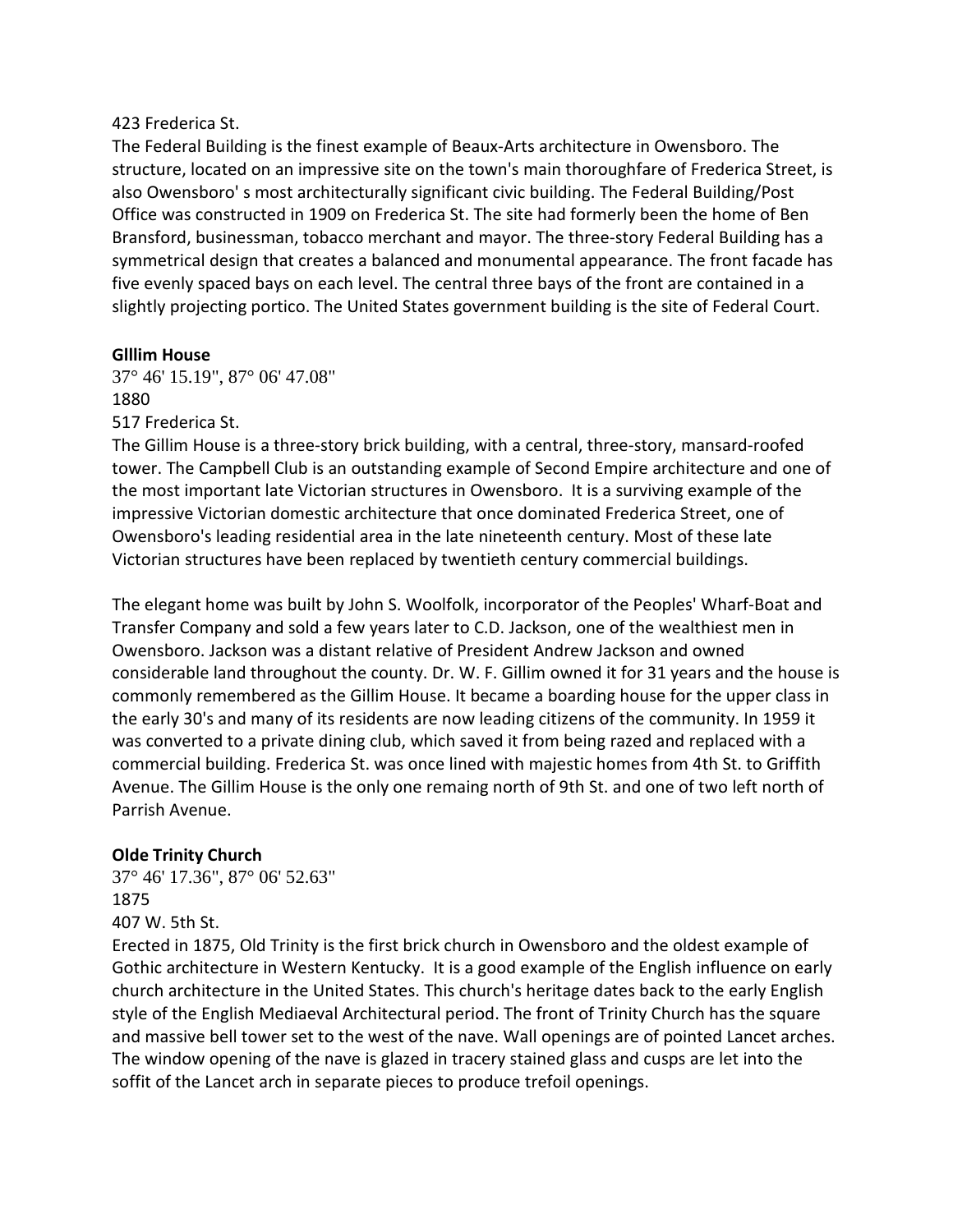#### 423 Frederica St.

The Federal Building is the finest example of Beaux-Arts architecture in Owensboro. The structure, located on an impressive site on the town's main thoroughfare of Frederica Street, is also Owensboro' s most architecturally significant civic building. The Federal Building/Post Office was constructed in 1909 on Frederica St. The site had formerly been the home of Ben Bransford, businessman, tobacco merchant and mayor. The three-story Federal Building has a symmetrical design that creates a balanced and monumental appearance. The front facade has five evenly spaced bays on each level. The central three bays of the front are contained in a slightly projecting portico. The United States government building is the site of Federal Court.

#### **Glllim House**

37° 46' 15.19", 87° 06' 47.08" 1880 517 Frederica St.

The Gillim House is a three-story brick building, with a central, three-story, mansard-roofed tower. The Campbell Club is an outstanding example of Second Empire architecture and one of the most important late Victorian structures in Owensboro. It is a surviving example of the impressive Victorian domestic architecture that once dominated Frederica Street, one of Owensboro's leading residential area in the late nineteenth century. Most of these late Victorian structures have been replaced by twentieth century commercial buildings.

The elegant home was built by John S. Woolfolk, incorporator of the Peoples' Wharf-Boat and Transfer Company and sold a few years later to C.D. Jackson, one of the wealthiest men in Owensboro. Jackson was a distant relative of President Andrew Jackson and owned considerable land throughout the county. Dr. W. F. Gillim owned it for 31 years and the house is commonly remembered as the Gillim House. It became a boarding house for the upper class in the early 30's and many of its residents are now leading citizens of the community. In 1959 it was converted to a private dining club, which saved it from being razed and replaced with a commercial building. Frederica St. was once lined with majestic homes from 4th St. to Griffith Avenue. The Gillim House is the only one remaing north of 9th St. and one of two left north of Parrish Avenue.

# **Olde Trinity Church**

37° 46' 17.36", 87° 06' 52.63" 1875 407 W. 5th St.

Erected in 1875, Old Trinity is the first brick church in Owensboro and the oldest example of Gothic architecture in Western Kentucky. It is a good example of the English influence on early church architecture in the United States. This church's heritage dates back to the early English style of the English Mediaeval Architectural period. The front of Trinity Church has the square and massive bell tower set to the west of the nave. Wall openings are of pointed Lancet arches. The window opening of the nave is glazed in tracery stained glass and cusps are let into the soffit of the Lancet arch in separate pieces to produce trefoil openings.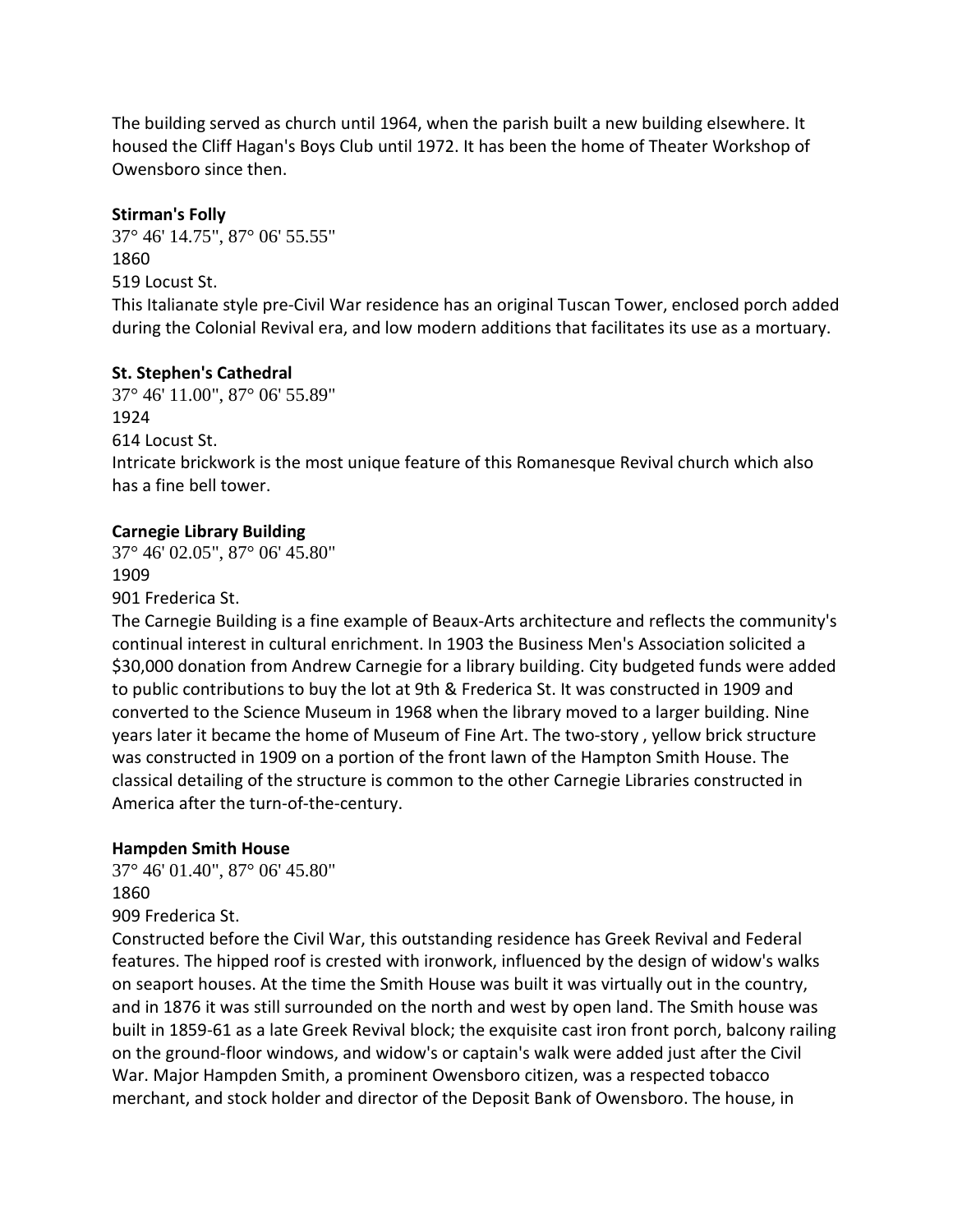The building served as church until 1964, when the parish built a new building elsewhere. It housed the Cliff Hagan's Boys Club until 1972. It has been the home of Theater Workshop of Owensboro since then.

## **Stirman's Folly**

37° 46' 14.75", 87° 06' 55.55" 1860 519 Locust St.

This Italianate style pre-Civil War residence has an original Tuscan Tower, enclosed porch added during the Colonial Revival era, and low modern additions that facilitates its use as a mortuary.

## **St. Stephen's Cathedral**

37° 46' 11.00", 87° 06' 55.89" 1924 614 Locust St. Intricate brickwork is the most unique feature of this Romanesque Revival church which also has a fine bell tower.

# **Carnegie Library Building**

37° 46' 02.05", 87° 06' 45.80" 1909 901 Frederica St.

The Carnegie Building is a fine example of Beaux-Arts architecture and reflects the community's continual interest in cultural enrichment. In 1903 the Business Men's Association solicited a \$30,000 donation from Andrew Carnegie for a library building. City budgeted funds were added to public contributions to buy the lot at 9th & Frederica St. It was constructed in 1909 and converted to the Science Museum in 1968 when the library moved to a larger building. Nine years later it became the home of Museum of Fine Art. The two-story , yellow brick structure was constructed in 1909 on a portion of the front lawn of the Hampton Smith House. The classical detailing of the structure is common to the other Carnegie Libraries constructed in America after the turn-of-the-century.

#### **Hampden Smith House**

37° 46' 01.40", 87° 06' 45.80" 1860 909 Frederica St.

Constructed before the Civil War, this outstanding residence has Greek Revival and Federal features. The hipped roof is crested with ironwork, influenced by the design of widow's walks on seaport houses. At the time the Smith House was built it was virtually out in the country, and in 1876 it was still surrounded on the north and west by open land. The Smith house was built in 1859-61 as a late Greek Revival block; the exquisite cast iron front porch, balcony railing on the ground-floor windows, and widow's or captain's walk were added just after the Civil War. Major Hampden Smith, a prominent Owensboro citizen, was a respected tobacco merchant, and stock holder and director of the Deposit Bank of Owensboro. The house, in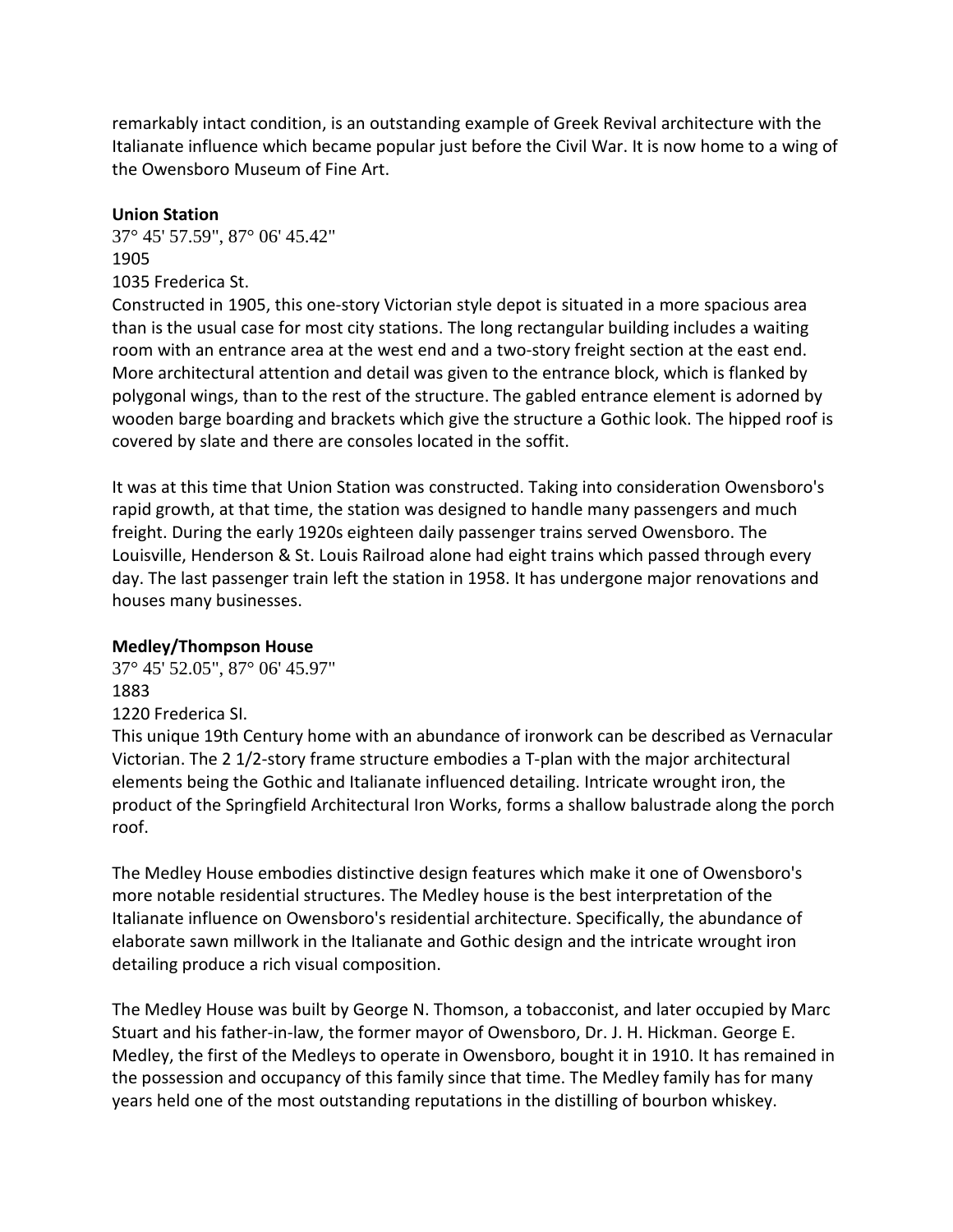remarkably intact condition, is an outstanding example of Greek Revival architecture with the Italianate influence which became popular just before the Civil War. It is now home to a wing of the Owensboro Museum of Fine Art.

#### **Union Station**

37° 45' 57.59", 87° 06' 45.42" 1905 1035 Frederica St.

Constructed in 1905, this one-story Victorian style depot is situated in a more spacious area than is the usual case for most city stations. The long rectangular building includes a waiting room with an entrance area at the west end and a two-story freight section at the east end. More architectural attention and detail was given to the entrance block, which is flanked by polygonal wings, than to the rest of the structure. The gabled entrance element is adorned by wooden barge boarding and brackets which give the structure a Gothic look. The hipped roof is covered by slate and there are consoles located in the soffit.

It was at this time that Union Station was constructed. Taking into consideration Owensboro's rapid growth, at that time, the station was designed to handle many passengers and much freight. During the early 1920s eighteen daily passenger trains served Owensboro. The Louisville, Henderson & St. Louis Railroad alone had eight trains which passed through every day. The last passenger train left the station in 1958. It has undergone major renovations and houses many businesses.

#### **Medley/Thompson House**

37° 45' 52.05", 87° 06' 45.97" 1883 1220 Frederica SI.

This unique 19th Century home with an abundance of ironwork can be described as Vernacular Victorian. The 2 1/2-story frame structure embodies a T-plan with the major architectural elements being the Gothic and Italianate influenced detailing. Intricate wrought iron, the product of the Springfield Architectural Iron Works, forms a shallow balustrade along the porch roof.

The Medley House embodies distinctive design features which make it one of Owensboro's more notable residential structures. The Medley house is the best interpretation of the Italianate influence on Owensboro's residential architecture. Specifically, the abundance of elaborate sawn millwork in the Italianate and Gothic design and the intricate wrought iron detailing produce a rich visual composition.

The Medley House was built by George N. Thomson, a tobacconist, and later occupied by Marc Stuart and his father-in-law, the former mayor of Owensboro, Dr. J. H. Hickman. George E. Medley, the first of the Medleys to operate in Owensboro, bought it in 1910. It has remained in the possession and occupancy of this family since that time. The Medley family has for many years held one of the most outstanding reputations in the distilling of bourbon whiskey.